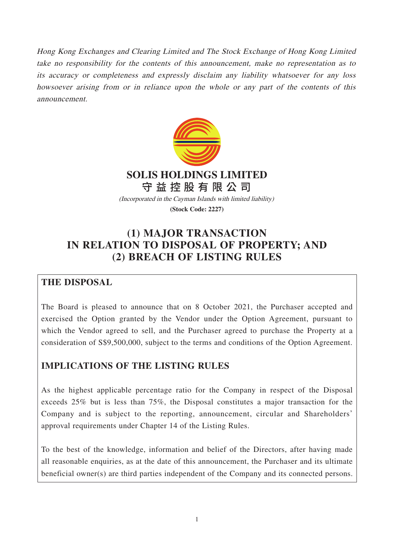Hong Kong Exchanges and Clearing Limited and The Stock Exchange of Hong Kong Limited take no responsibility for the contents of this announcement, make no representation as to its accuracy or completeness and expressly disclaim any liability whatsoever for any loss howsoever arising from or in reliance upon the whole or any part of the contents of this announcement.



# **SOLIS HOLDINGS LIMITED** 守益控股有限公司

(Incorporated in the Cayman Islands with limited liability) **(Stock Code: 2227)**

# **(1) MAJOR TRANSACTION IN RELATION TO DISPOSAL OF PROPERTY; AND (2) BREACH OF LISTING RULES**

# **THE DISPOSAL**

The Board is pleased to announce that on 8 October 2021, the Purchaser accepted and exercised the Option granted by the Vendor under the Option Agreement, pursuant to which the Vendor agreed to sell, and the Purchaser agreed to purchase the Property at a consideration of S\$9,500,000, subject to the terms and conditions of the Option Agreement.

# **IMPLICATIONS OF THE LISTING RULES**

As the highest applicable percentage ratio for the Company in respect of the Disposal exceeds 25% but is less than 75%, the Disposal constitutes a major transaction for the Company and is subject to the reporting, announcement, circular and Shareholders' approval requirements under Chapter 14 of the Listing Rules.

To the best of the knowledge, information and belief of the Directors, after having made all reasonable enquiries, as at the date of this announcement, the Purchaser and its ultimate beneficial owner(s) are third parties independent of the Company and its connected persons.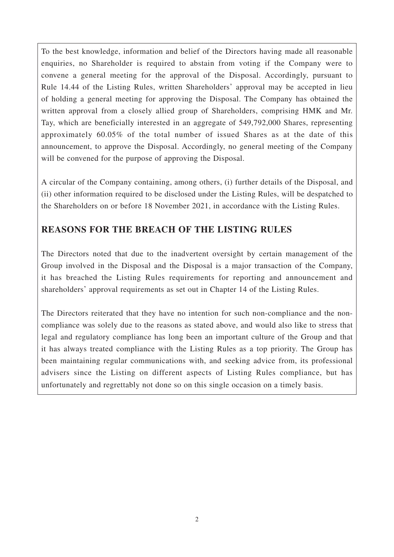To the best knowledge, information and belief of the Directors having made all reasonable enquiries, no Shareholder is required to abstain from voting if the Company were to convene a general meeting for the approval of the Disposal. Accordingly, pursuant to Rule 14.44 of the Listing Rules, written Shareholders' approval may be accepted in lieu of holding a general meeting for approving the Disposal. The Company has obtained the written approval from a closely allied group of Shareholders, comprising HMK and Mr. Tay, which are beneficially interested in an aggregate of 549,792,000 Shares, representing approximately 60.05% of the total number of issued Shares as at the date of this announcement, to approve the Disposal. Accordingly, no general meeting of the Company will be convened for the purpose of approving the Disposal.

A circular of the Company containing, among others, (i) further details of the Disposal, and (ii) other information required to be disclosed under the Listing Rules, will be despatched to the Shareholders on or before 18 November 2021, in accordance with the Listing Rules.

# **REASONS FOR THE BREACH OF THE LISTING RULES**

The Directors noted that due to the inadvertent oversight by certain management of the Group involved in the Disposal and the Disposal is a major transaction of the Company, it has breached the Listing Rules requirements for reporting and announcement and shareholders' approval requirements as set out in Chapter 14 of the Listing Rules.

The Directors reiterated that they have no intention for such non-compliance and the noncompliance was solely due to the reasons as stated above, and would also like to stress that legal and regulatory compliance has long been an important culture of the Group and that it has always treated compliance with the Listing Rules as a top priority. The Group has been maintaining regular communications with, and seeking advice from, its professional advisers since the Listing on different aspects of Listing Rules compliance, but has unfortunately and regrettably not done so on this single occasion on a timely basis.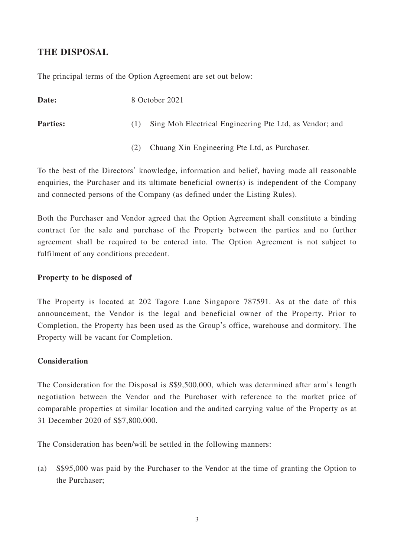### **THE DISPOSAL**

The principal terms of the Option Agreement are set out below:

| Date:           | 8 October 2021 |                                                         |
|-----------------|----------------|---------------------------------------------------------|
| <b>Parties:</b> |                | Sing Moh Electrical Engineering Pte Ltd, as Vendor; and |
|                 |                | Chuang Xin Engineering Pte Ltd, as Purchaser.           |

To the best of the Directors' knowledge, information and belief, having made all reasonable enquiries, the Purchaser and its ultimate beneficial owner(s) is independent of the Company and connected persons of the Company (as defined under the Listing Rules).

Both the Purchaser and Vendor agreed that the Option Agreement shall constitute a binding contract for the sale and purchase of the Property between the parties and no further agreement shall be required to be entered into. The Option Agreement is not subject to fulfilment of any conditions precedent.

#### **Property to be disposed of**

The Property is located at 202 Tagore Lane Singapore 787591. As at the date of this announcement, the Vendor is the legal and beneficial owner of the Property. Prior to Completion, the Property has been used as the Group's office, warehouse and dormitory. The Property will be vacant for Completion.

#### **Consideration**

The Consideration for the Disposal is S\$9,500,000, which was determined after arm's length negotiation between the Vendor and the Purchaser with reference to the market price of comparable properties at similar location and the audited carrying value of the Property as at 31 December 2020 of S\$7,800,000.

The Consideration has been/will be settled in the following manners:

(a) S\$95,000 was paid by the Purchaser to the Vendor at the time of granting the Option to the Purchaser;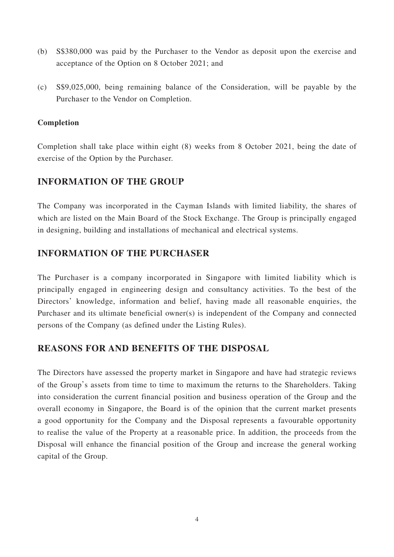- (b) S\$380,000 was paid by the Purchaser to the Vendor as deposit upon the exercise and acceptance of the Option on 8 October 2021; and
- (c) S\$9,025,000, being remaining balance of the Consideration, will be payable by the Purchaser to the Vendor on Completion.

#### **Completion**

Completion shall take place within eight (8) weeks from 8 October 2021, being the date of exercise of the Option by the Purchaser.

#### **INFORMATION OF THE GROUP**

The Company was incorporated in the Cayman Islands with limited liability, the shares of which are listed on the Main Board of the Stock Exchange. The Group is principally engaged in designing, building and installations of mechanical and electrical systems.

#### **INFORMATION OF THE PURCHASER**

The Purchaser is a company incorporated in Singapore with limited liability which is principally engaged in engineering design and consultancy activities. To the best of the Directors' knowledge, information and belief, having made all reasonable enquiries, the Purchaser and its ultimate beneficial owner(s) is independent of the Company and connected persons of the Company (as defined under the Listing Rules).

#### **REASONS FOR AND BENEFITS OF THE DISPOSAL**

The Directors have assessed the property market in Singapore and have had strategic reviews of the Group's assets from time to time to maximum the returns to the Shareholders. Taking into consideration the current financial position and business operation of the Group and the overall economy in Singapore, the Board is of the opinion that the current market presents a good opportunity for the Company and the Disposal represents a favourable opportunity to realise the value of the Property at a reasonable price. In addition, the proceeds from the Disposal will enhance the financial position of the Group and increase the general working capital of the Group.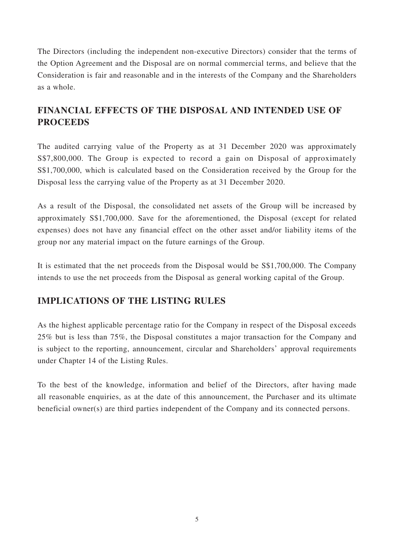The Directors (including the independent non-executive Directors) consider that the terms of the Option Agreement and the Disposal are on normal commercial terms, and believe that the Consideration is fair and reasonable and in the interests of the Company and the Shareholders as a whole.

# **FINANCIAL EFFECTS OF THE DISPOSAL AND INTENDED USE OF PROCEEDS**

The audited carrying value of the Property as at 31 December 2020 was approximately S\$7,800,000. The Group is expected to record a gain on Disposal of approximately S\$1,700,000, which is calculated based on the Consideration received by the Group for the Disposal less the carrying value of the Property as at 31 December 2020.

As a result of the Disposal, the consolidated net assets of the Group will be increased by approximately S\$1,700,000. Save for the aforementioned, the Disposal (except for related expenses) does not have any financial effect on the other asset and/or liability items of the group nor any material impact on the future earnings of the Group.

It is estimated that the net proceeds from the Disposal would be S\$1,700,000. The Company intends to use the net proceeds from the Disposal as general working capital of the Group.

# **IMPLICATIONS OF THE LISTING RULES**

As the highest applicable percentage ratio for the Company in respect of the Disposal exceeds 25% but is less than 75%, the Disposal constitutes a major transaction for the Company and is subject to the reporting, announcement, circular and Shareholders' approval requirements under Chapter 14 of the Listing Rules.

To the best of the knowledge, information and belief of the Directors, after having made all reasonable enquiries, as at the date of this announcement, the Purchaser and its ultimate beneficial owner(s) are third parties independent of the Company and its connected persons.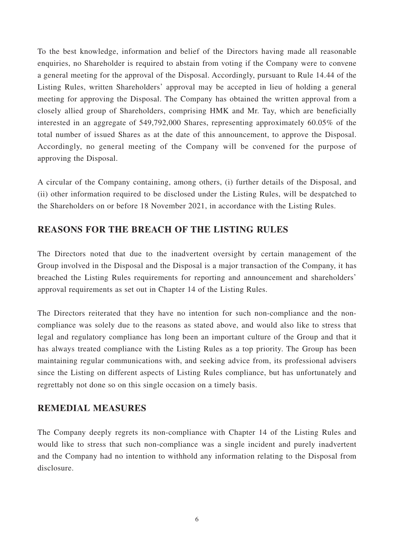To the best knowledge, information and belief of the Directors having made all reasonable enquiries, no Shareholder is required to abstain from voting if the Company were to convene a general meeting for the approval of the Disposal. Accordingly, pursuant to Rule 14.44 of the Listing Rules, written Shareholders' approval may be accepted in lieu of holding a general meeting for approving the Disposal. The Company has obtained the written approval from a closely allied group of Shareholders, comprising HMK and Mr. Tay, which are beneficially interested in an aggregate of 549,792,000 Shares, representing approximately 60.05% of the total number of issued Shares as at the date of this announcement, to approve the Disposal. Accordingly, no general meeting of the Company will be convened for the purpose of approving the Disposal.

A circular of the Company containing, among others, (i) further details of the Disposal, and (ii) other information required to be disclosed under the Listing Rules, will be despatched to the Shareholders on or before 18 November 2021, in accordance with the Listing Rules.

### **REASONS FOR THE BREACH OF THE LISTING RULES**

The Directors noted that due to the inadvertent oversight by certain management of the Group involved in the Disposal and the Disposal is a major transaction of the Company, it has breached the Listing Rules requirements for reporting and announcement and shareholders' approval requirements as set out in Chapter 14 of the Listing Rules.

The Directors reiterated that they have no intention for such non-compliance and the noncompliance was solely due to the reasons as stated above, and would also like to stress that legal and regulatory compliance has long been an important culture of the Group and that it has always treated compliance with the Listing Rules as a top priority. The Group has been maintaining regular communications with, and seeking advice from, its professional advisers since the Listing on different aspects of Listing Rules compliance, but has unfortunately and regrettably not done so on this single occasion on a timely basis.

### **REMEDIAL MEASURES**

The Company deeply regrets its non-compliance with Chapter 14 of the Listing Rules and would like to stress that such non-compliance was a single incident and purely inadvertent and the Company had no intention to withhold any information relating to the Disposal from disclosure.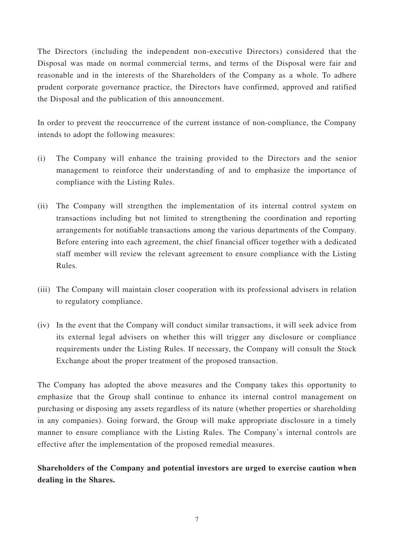The Directors (including the independent non-executive Directors) considered that the Disposal was made on normal commercial terms, and terms of the Disposal were fair and reasonable and in the interests of the Shareholders of the Company as a whole. To adhere prudent corporate governance practice, the Directors have confirmed, approved and ratified the Disposal and the publication of this announcement.

In order to prevent the reoccurrence of the current instance of non-compliance, the Company intends to adopt the following measures:

- (i) The Company will enhance the training provided to the Directors and the senior management to reinforce their understanding of and to emphasize the importance of compliance with the Listing Rules.
- (ii) The Company will strengthen the implementation of its internal control system on transactions including but not limited to strengthening the coordination and reporting arrangements for notifiable transactions among the various departments of the Company. Before entering into each agreement, the chief financial officer together with a dedicated staff member will review the relevant agreement to ensure compliance with the Listing Rules.
- (iii) The Company will maintain closer cooperation with its professional advisers in relation to regulatory compliance.
- (iv) In the event that the Company will conduct similar transactions, it will seek advice from its external legal advisers on whether this will trigger any disclosure or compliance requirements under the Listing Rules. If necessary, the Company will consult the Stock Exchange about the proper treatment of the proposed transaction.

The Company has adopted the above measures and the Company takes this opportunity to emphasize that the Group shall continue to enhance its internal control management on purchasing or disposing any assets regardless of its nature (whether properties or shareholding in any companies). Going forward, the Group will make appropriate disclosure in a timely manner to ensure compliance with the Listing Rules. The Company's internal controls are effective after the implementation of the proposed remedial measures.

**Shareholders of the Company and potential investors are urged to exercise caution when dealing in the Shares.**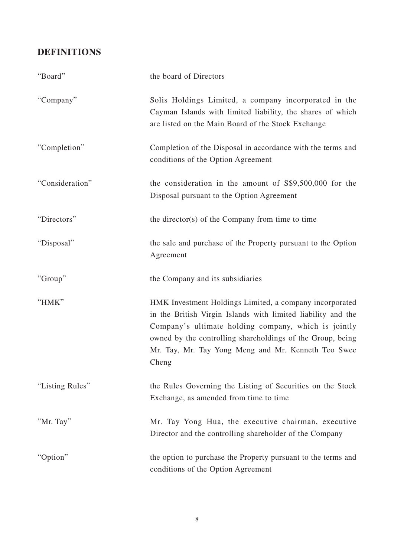# **DEFINITIONS**

| "Board"         | the board of Directors                                                                                                                                                                                                                                                                                        |
|-----------------|---------------------------------------------------------------------------------------------------------------------------------------------------------------------------------------------------------------------------------------------------------------------------------------------------------------|
| "Company"       | Solis Holdings Limited, a company incorporated in the<br>Cayman Islands with limited liability, the shares of which<br>are listed on the Main Board of the Stock Exchange                                                                                                                                     |
| "Completion"    | Completion of the Disposal in accordance with the terms and<br>conditions of the Option Agreement                                                                                                                                                                                                             |
| "Consideration" | the consideration in the amount of \$\$9,500,000 for the<br>Disposal pursuant to the Option Agreement                                                                                                                                                                                                         |
| "Directors"     | the director(s) of the Company from time to time                                                                                                                                                                                                                                                              |
| "Disposal"      | the sale and purchase of the Property pursuant to the Option<br>Agreement                                                                                                                                                                                                                                     |
| "Group"         | the Company and its subsidiaries                                                                                                                                                                                                                                                                              |
| "HMK"           | HMK Investment Holdings Limited, a company incorporated<br>in the British Virgin Islands with limited liability and the<br>Company's ultimate holding company, which is jointly<br>owned by the controlling shareholdings of the Group, being<br>Mr. Tay, Mr. Tay Yong Meng and Mr. Kenneth Teo Swee<br>Cheng |
| "Listing Rules" | the Rules Governing the Listing of Securities on the Stock<br>Exchange, as amended from time to time                                                                                                                                                                                                          |
| "Mr. Tay"       | Mr. Tay Yong Hua, the executive chairman, executive<br>Director and the controlling shareholder of the Company                                                                                                                                                                                                |
| "Option"        | the option to purchase the Property pursuant to the terms and<br>conditions of the Option Agreement                                                                                                                                                                                                           |